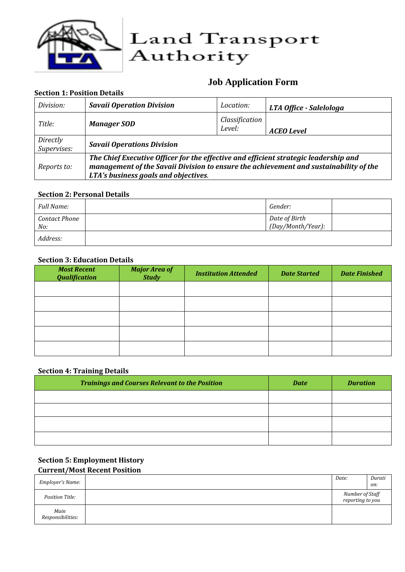

# **Job Application Form**

#### **Section 1: Position Details**

| Division:               | <b>Savaii Operation Division</b>                                                                                                                                                                                      | Location:                | LTA Office - Salelologa |
|-------------------------|-----------------------------------------------------------------------------------------------------------------------------------------------------------------------------------------------------------------------|--------------------------|-------------------------|
| Title:                  | <b>Manager SOD</b>                                                                                                                                                                                                    | Classification<br>Level: | <b>ACEO</b> Level       |
| Directly<br>Supervises: | <b>Savaii Operations Division</b>                                                                                                                                                                                     |                          |                         |
| Reports to:             | The Chief Executive Officer for the effective and efficient strategic leadership and<br>management of the Savaii Division to ensure the achievement and sustainability of the<br>LTA's business goals and objectives. |                          |                         |

#### **Section 2: Personal Details**

| <b>Full Name:</b>           | Gender:                            |  |
|-----------------------------|------------------------------------|--|
| <b>Contact Phone</b><br>No: | Date of Birth<br>(Day/Month/Year): |  |
| Address:                    |                                    |  |

#### **Section 3: Education Details**

| <b>Most Recent</b><br><b>Qualification</b> | <b>Major Area of</b><br><b>Study</b> | <b>Institution Attended</b> | <b>Date Started</b> | <b>Date Finished</b> |
|--------------------------------------------|--------------------------------------|-----------------------------|---------------------|----------------------|
|                                            |                                      |                             |                     |                      |
|                                            |                                      |                             |                     |                      |
|                                            |                                      |                             |                     |                      |
|                                            |                                      |                             |                     |                      |
|                                            |                                      |                             |                     |                      |

#### **Section 4: Training Details**

| <b>Trainings and Courses Relevant to the Position</b> | <b>Date</b> | <b>Duration</b> |
|-------------------------------------------------------|-------------|-----------------|
|                                                       |             |                 |
|                                                       |             |                 |
|                                                       |             |                 |
|                                                       |             |                 |

### **Section 5: Employment History Current/Most Recent Position**

| Employer's Name:          | Date:                               | Durati |
|---------------------------|-------------------------------------|--------|
|                           |                                     | on:    |
| Position Title:           | Number of Staff<br>reporting to you |        |
| Main<br>Responsibilities: |                                     |        |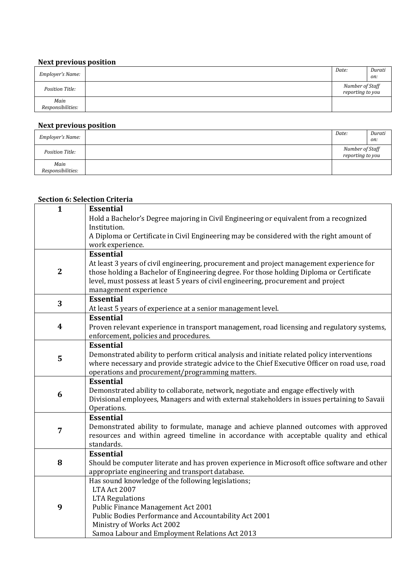#### **Next previous position**

|                           | Date:                               | Durati |
|---------------------------|-------------------------------------|--------|
| Employer's Name:          |                                     | on:    |
| Position Title:           | Number of Staff<br>reporting to you |        |
| Main<br>Responsibilities: |                                     |        |

## **Next previous position**

| Employer's Name:          | Date:                               | Durati |
|---------------------------|-------------------------------------|--------|
|                           |                                     | on:    |
| Position Title:           | Number of Staff<br>reporting to you |        |
| Main<br>Responsibilities: |                                     |        |

### **Section 6: Selection Criteria**

| $\mathbf{1}$     | <b>Essential</b>                                                                                                                    |
|------------------|-------------------------------------------------------------------------------------------------------------------------------------|
|                  | Hold a Bachelor's Degree majoring in Civil Engineering or equivalent from a recognized                                              |
|                  | Institution.                                                                                                                        |
|                  | A Diploma or Certificate in Civil Engineering may be considered with the right amount of<br>work experience.                        |
|                  | <b>Essential</b>                                                                                                                    |
|                  | At least 3 years of civil engineering, procurement and project management experience for                                            |
| $\overline{2}$   | those holding a Bachelor of Engineering degree. For those holding Diploma or Certificate                                            |
|                  | level, must possess at least 5 years of civil engineering, procurement and project                                                  |
|                  | management experience                                                                                                               |
| 3                | <b>Essential</b>                                                                                                                    |
|                  | At least 5 years of experience at a senior management level.                                                                        |
| $\boldsymbol{4}$ | <b>Essential</b>                                                                                                                    |
|                  | Proven relevant experience in transport management, road licensing and regulatory systems,<br>enforcement, policies and procedures. |
|                  | <b>Essential</b>                                                                                                                    |
|                  | Demonstrated ability to perform critical analysis and initiate related policy interventions                                         |
| 5                | where necessary and provide strategic advice to the Chief Executive Officer on road use, road                                       |
|                  | operations and procurement/programming matters.                                                                                     |
|                  | <b>Essential</b>                                                                                                                    |
| 6                | Demonstrated ability to collaborate, network, negotiate and engage effectively with                                                 |
|                  | Divisional employees, Managers and with external stakeholders in issues pertaining to Savaii                                        |
|                  | Operations.<br><b>Essential</b>                                                                                                     |
|                  | Demonstrated ability to formulate, manage and achieve planned outcomes with approved                                                |
| $\overline{7}$   | resources and within agreed timeline in accordance with acceptable quality and ethical                                              |
|                  | standards.                                                                                                                          |
|                  | <b>Essential</b>                                                                                                                    |
| 8                | Should be computer literate and has proven experience in Microsoft office software and other                                        |
|                  | appropriate engineering and transport database.                                                                                     |
|                  | Has sound knowledge of the following legislations;<br>LTA Act 2007                                                                  |
|                  | <b>LTA Regulations</b>                                                                                                              |
| 9                | Public Finance Management Act 2001                                                                                                  |
|                  | Public Bodies Performance and Accountability Act 2001                                                                               |
|                  | Ministry of Works Act 2002                                                                                                          |
|                  | Samoa Labour and Employment Relations Act 2013                                                                                      |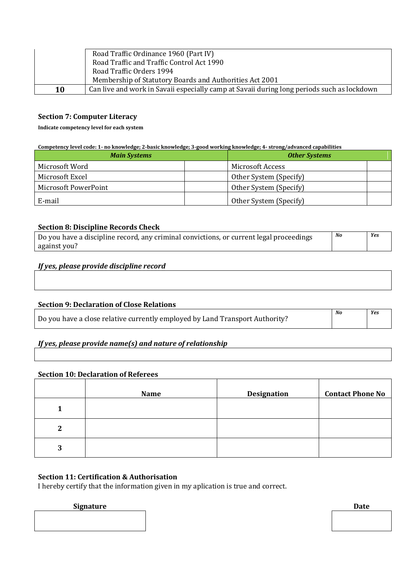|    | Road Traffic Ordinance 1960 (Part IV)                                                      |
|----|--------------------------------------------------------------------------------------------|
|    | Road Traffic and Traffic Control Act 1990                                                  |
|    | Road Traffic Orders 1994                                                                   |
|    | Membership of Statutory Boards and Authorities Act 2001                                    |
| 10 | Can live and work in Savaii especially camp at Savaii during long periods such as lockdown |

#### **Section 7: Computer Literacy**

**Indicate competency level for each system**

**Competency level code: 1- no knowledge; 2-basic knowledge; 3-good working knowledge; 4- strong/advanced capabilities**

| <b>Main Systems</b>  | <b>Other Systems</b>   |  |
|----------------------|------------------------|--|
| Microsoft Word       | Microsoft Access       |  |
| Microsoft Excel      | Other System (Specify) |  |
| Microsoft PowerPoint | Other System (Specify) |  |
| E-mail               | Other System (Specify) |  |

#### **Section 8: Discipline Records Check**

| No<br>Do you have a discipline record, any criminal convictions, or current legal proceedings |  | Yes |
|-----------------------------------------------------------------------------------------------|--|-----|
| against you?                                                                                  |  |     |

#### *If yes, please provide discipline record*

#### **Section 9: Declaration of Close Relations**

|                                                                              | No | Yes |
|------------------------------------------------------------------------------|----|-----|
| Do you have a close relative currently employed by Land Transport Authority? |    |     |

#### *If yes, please provide name(s) and nature of relationship*

#### **Section 10: Declaration of Referees**

|             | <b>Name</b> | <b>Designation</b> | <b>Contact Phone No</b> |
|-------------|-------------|--------------------|-------------------------|
|             |             |                    |                         |
| $\mathbf 2$ |             |                    |                         |
| 3           |             |                    |                         |

#### **Section 11: Certification & Authorisation**

I hereby certify that the information given in my aplication is true and correct.

#### **Signature Date**